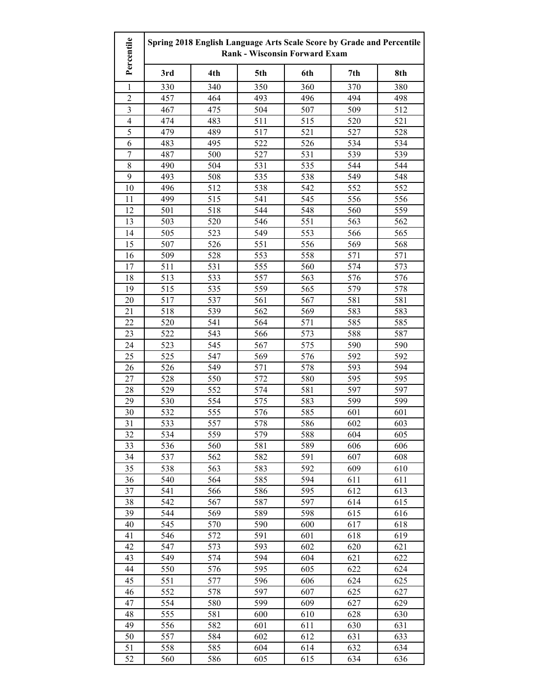| Percentile              | Spring 2018 English Language Arts Scale Score by Grade and Percentile<br><b>Rank - Wisconsin Forward Exam</b> |            |            |            |            |            |
|-------------------------|---------------------------------------------------------------------------------------------------------------|------------|------------|------------|------------|------------|
|                         | 3rd                                                                                                           | 4th        | 5th        | 6th        | 7th        | 8th        |
| 1                       | 330                                                                                                           | 340        | 350        | 360        | 370        | 380        |
| $\overline{2}$          | 457                                                                                                           | 464        | 493        | 496        | 494        | 498        |
| $\overline{\mathbf{3}}$ | 467                                                                                                           | 475        | 504        | 507        | 509        | 512        |
| $\overline{4}$          | 474                                                                                                           | 483        | 511        | 515        | 520        | 521        |
| 5                       | 479                                                                                                           | 489        | 517        | 521        | 527        | 528        |
| 6                       | 483                                                                                                           | 495        | 522        | 526        | 534        | 534        |
| $\boldsymbol{7}$        | 487                                                                                                           | 500        | 527        | 531        | 539        | 539        |
| 8                       | 490                                                                                                           | 504        | 531        | 535        | 544        | 544        |
| 9                       | 493                                                                                                           | 508        | 535        | 538        | 549        | 548        |
| 10                      | 496                                                                                                           | 512        | 538        | 542        | 552        | 552        |
| 11                      | 499                                                                                                           | 515        | 541        | 545        | 556        | 556        |
| 12                      | 501                                                                                                           | 518        | 544        | 548        | 560        | 559        |
| 13                      | 503                                                                                                           | 520        | 546        | 551        | 563        | 562        |
| 14                      | 505                                                                                                           | 523        | 549        | 553        | 566        | 565        |
| 15                      | 507                                                                                                           | 526        | 551        | 556        | 569        | 568        |
| 16                      | 509                                                                                                           | 528        | 553        | 558        | 571        | 571        |
| 17                      | 511                                                                                                           | 531        | 555        | 560        | 574        | 573        |
| 18                      | 513                                                                                                           | 533        | 557        | 563        | 576        | 576        |
| 19                      | 515                                                                                                           | 535        | 559        | 565        | 579        | 578        |
| 20                      | 517                                                                                                           | 537        | 561        | 567        | 581        | 581        |
| 21                      | 518                                                                                                           | 539        | 562        | 569        | 583        | 583        |
| 22                      | 520                                                                                                           | 541        | 564        | 571        | 585        | 585        |
| 23                      | 522                                                                                                           | 543        | 566        | 573        | 588        | 587        |
| 24                      | 523                                                                                                           | 545        | 567        | 575        | 590        | 590        |
| 25                      | 525                                                                                                           | 547        | 569        | 576        | 592        | 592        |
| 26                      | 526                                                                                                           | 549        | 571        | 578        | 593        | 594        |
| 27                      | 528                                                                                                           | 550        | 572        | 580        | 595        | 595        |
| 28                      | 529                                                                                                           | 552        | 574        | 581        | 597        | 597        |
| 29                      | 530                                                                                                           | 554        | 575        | 583        | 599        | 599        |
| 30                      | 532                                                                                                           | 555        | 576        | 585        | 601        | 601        |
| 31                      | 533                                                                                                           | 557        | 578        | 586        | 602        | 603        |
| 32                      | 534                                                                                                           | 559        | 579        | 588        | 604        | 605        |
| 33                      | 536                                                                                                           | 560        | 581        | 589        | 606        | 606        |
| 34                      | 537                                                                                                           | 562        | 582        | 591        | 607        | 608        |
| 35                      | 538<br>540                                                                                                    | 563        | 583        | 592        | 609        | 610        |
| 36                      |                                                                                                               | 564        | 585        | 594        | 611        | 611        |
| 37<br>38                | 541<br>542                                                                                                    | 566<br>567 | 586<br>587 | 595<br>597 | 612<br>614 | 613<br>615 |
| 39                      | 544                                                                                                           | 569        |            |            |            | 616        |
| 40                      | 545                                                                                                           | 570        | 589<br>590 | 598<br>600 | 615<br>617 | 618        |
| 41                      | 546                                                                                                           | 572        | 591        | 601        | 618        | 619        |
| 42                      | 547                                                                                                           | 573        | 593        | 602        | 620        | 621        |
| 43                      | 549                                                                                                           | 574        | 594        | 604        | 621        | 622        |
| 44                      | 550                                                                                                           | 576        | 595        | 605        | 622        | 624        |
| 45                      | 551                                                                                                           | 577        | 596        | 606        | 624        | 625        |
| 46                      | 552                                                                                                           | 578        | 597        | 607        | 625        | 627        |
| 47                      | 554                                                                                                           | 580        | 599        | 609        | 627        | 629        |
| 48                      | 555                                                                                                           | 581        | 600        | 610        | 628        | 630        |
| 49                      | 556                                                                                                           | 582        | 601        | 611        | 630        | 631        |
| 50                      | 557                                                                                                           | 584        | 602        | 612        | 631        | 633        |
| 51                      | 558                                                                                                           | 585        | 604        | 614        | 632        | 634        |
| 52                      | 560                                                                                                           | 586        | 605        | 615        | 634        | 636        |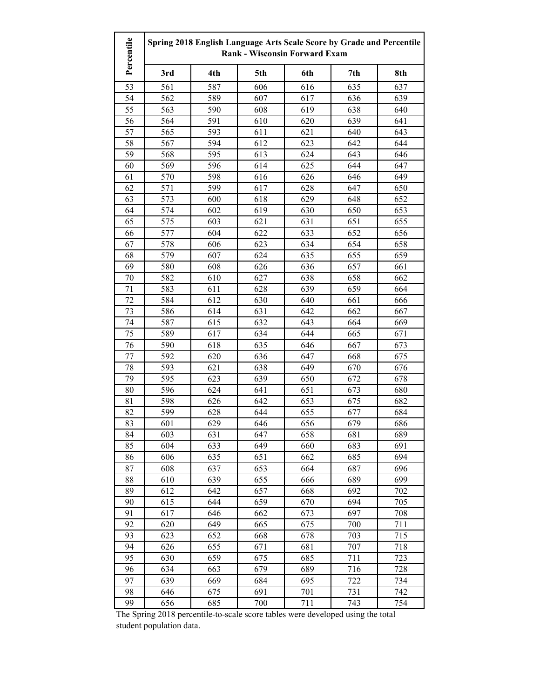| Percentile | Spring 2018 English Language Arts Scale Score by Grade and Percentile<br><b>Rank - Wisconsin Forward Exam</b> |     |     |     |     |     |
|------------|---------------------------------------------------------------------------------------------------------------|-----|-----|-----|-----|-----|
|            | 3rd                                                                                                           | 4th | 5th | 6th | 7th | 8th |
| 53         | 561                                                                                                           | 587 | 606 | 616 | 635 | 637 |
| 54         | 562                                                                                                           | 589 | 607 | 617 | 636 | 639 |
| 55         | 563                                                                                                           | 590 | 608 | 619 | 638 | 640 |
| 56         | 564                                                                                                           | 591 | 610 | 620 | 639 | 641 |
| 57         | 565                                                                                                           | 593 | 611 | 621 | 640 | 643 |
| 58         | 567                                                                                                           | 594 | 612 | 623 | 642 | 644 |
| 59         | 568                                                                                                           | 595 | 613 | 624 | 643 | 646 |
| 60         | 569                                                                                                           | 596 | 614 | 625 | 644 | 647 |
| 61         | 570                                                                                                           | 598 | 616 | 626 | 646 | 649 |
| 62         | 571                                                                                                           | 599 | 617 | 628 | 647 | 650 |
| 63         | 573                                                                                                           | 600 | 618 | 629 | 648 | 652 |
| 64         | 574                                                                                                           | 602 | 619 | 630 | 650 | 653 |
| 65         | 575                                                                                                           | 603 | 621 | 631 | 651 | 655 |
| 66         | 577                                                                                                           | 604 | 622 | 633 | 652 | 656 |
| 67         | 578                                                                                                           | 606 | 623 | 634 | 654 | 658 |
| 68         | 579                                                                                                           | 607 | 624 | 635 | 655 | 659 |
| 69         | 580                                                                                                           | 608 | 626 | 636 | 657 | 661 |
| 70         | 582                                                                                                           | 610 | 627 | 638 | 658 | 662 |
| 71         | 583                                                                                                           | 611 | 628 | 639 | 659 | 664 |
| 72         | 584                                                                                                           | 612 | 630 | 640 | 661 | 666 |
| 73         | 586                                                                                                           | 614 | 631 | 642 | 662 | 667 |
| 74         | 587                                                                                                           | 615 | 632 | 643 | 664 | 669 |
| 75         | 589                                                                                                           | 617 | 634 | 644 | 665 | 671 |
| 76         | 590                                                                                                           | 618 | 635 | 646 | 667 | 673 |
| 77         | 592                                                                                                           | 620 | 636 | 647 | 668 | 675 |
| 78         | 593                                                                                                           | 621 | 638 | 649 | 670 | 676 |
| 79         | 595                                                                                                           | 623 | 639 | 650 | 672 | 678 |
| 80         | 596                                                                                                           | 624 | 641 | 651 | 673 | 680 |
| 81         | 598                                                                                                           | 626 | 642 | 653 | 675 | 682 |
| 82         | 599                                                                                                           | 628 | 644 | 655 | 677 | 684 |
| 83         | 601                                                                                                           | 629 | 646 | 656 | 679 | 686 |
| 84         | 603                                                                                                           | 631 | 647 | 658 | 681 | 689 |
| 85         | 604                                                                                                           | 633 | 649 | 660 | 683 | 691 |
| 86         | 606                                                                                                           | 635 | 651 | 662 | 685 | 694 |
| 87         | 608                                                                                                           | 637 | 653 | 664 | 687 | 696 |
| 88         | 610                                                                                                           | 639 | 655 | 666 | 689 | 699 |
| 89         | 612                                                                                                           | 642 | 657 | 668 | 692 | 702 |
| 90         | 615                                                                                                           | 644 | 659 | 670 | 694 | 705 |
| 91         | 617                                                                                                           | 646 | 662 | 673 | 697 | 708 |
| 92         | 620                                                                                                           | 649 | 665 | 675 | 700 | 711 |
| 93         | 623                                                                                                           | 652 | 668 | 678 | 703 | 715 |
| 94         | 626                                                                                                           | 655 | 671 | 681 | 707 | 718 |
| 95         | 630                                                                                                           | 659 | 675 | 685 | 711 | 723 |
| 96         | 634                                                                                                           | 663 | 679 | 689 | 716 | 728 |
| 97         | 639                                                                                                           | 669 | 684 | 695 | 722 | 734 |
| 98         | 646                                                                                                           | 675 | 691 | 701 | 731 | 742 |
| 99         | 656                                                                                                           | 685 | 700 | 711 | 743 | 754 |

The Spring 2018 percentile-to-scale score tables were developed using the total student population data.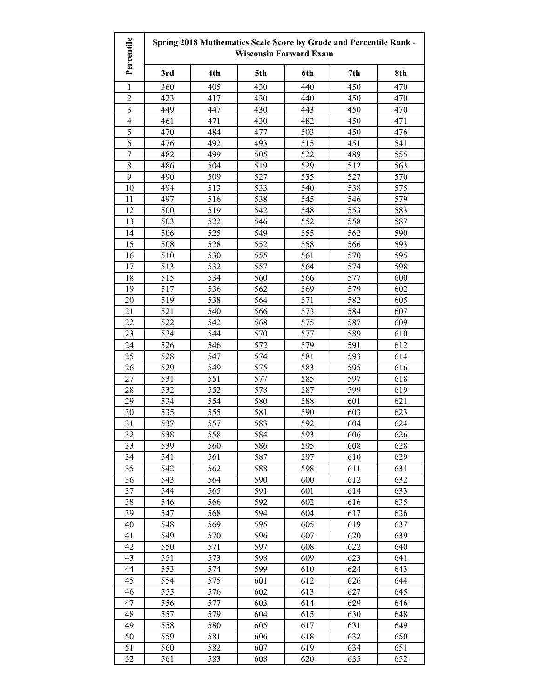| Percentile              | Spring 2018 Mathematics Scale Score by Grade and Percentile Rank -<br><b>Wisconsin Forward Exam</b> |            |            |            |            |            |
|-------------------------|-----------------------------------------------------------------------------------------------------|------------|------------|------------|------------|------------|
|                         | 3rd                                                                                                 | 4th        | 5th        | 6th        | 7th        | 8th        |
| $\mathbf{1}$            | 360                                                                                                 | 405        | 430        | 440        | 450        | 470        |
| $\overline{2}$          | 423                                                                                                 | 417        | 430        | 440        | 450        | 470        |
| 3                       | 449                                                                                                 | 447        | 430        | 443        | 450        | 470        |
| $\overline{\mathbf{4}}$ | 461                                                                                                 | 471        | 430        | 482        | 450        | 471        |
| 5                       | 470                                                                                                 | 484        | 477        | 503        | 450        | 476        |
| 6                       | 476                                                                                                 | 492        | 493        | 515        | 451        | 541        |
| 7                       | 482                                                                                                 | 499        | 505        | 522        | 489        | 555        |
| $8\,$                   | 486                                                                                                 | 504        | 519        | 529        | 512        | 563        |
| 9                       | 490                                                                                                 | 509        | 527        | 535        | 527        | 570        |
| 10                      | 494                                                                                                 | 513        | 533        | 540        | 538        | 575        |
| 11                      | 497                                                                                                 | 516        | 538        | 545        | 546        | 579        |
| 12                      | 500                                                                                                 | 519        | 542        | 548        | 553        | 583        |
| 13                      | 503                                                                                                 | 522        | 546        | 552        | 558        | 587        |
| 14                      | 506                                                                                                 | 525        | 549        | 555        | 562        | 590        |
| 15                      | 508                                                                                                 | 528        | 552        | 558        | 566        | 593        |
| 16                      | 510                                                                                                 | 530        | 555        | 561        | 570        | 595        |
| 17                      | 513                                                                                                 | 532        | 557        | 564        | 574        | 598        |
| 18                      | 515                                                                                                 | 534        | 560        | 566        | 577        | 600        |
| 19                      | 517                                                                                                 | 536        | 562        | 569        | 579        | 602        |
| 20                      | 519                                                                                                 | 538        | 564        | 571        | 582        | 605        |
| 21                      | 521                                                                                                 | 540        | 566        | 573        | 584        | 607        |
| 22                      | 522                                                                                                 | 542        | 568        | 575        | 587        | 609        |
| 23                      | 524                                                                                                 | 544        | 570        | 577        | 589        | 610        |
| 24                      | 526                                                                                                 | 546        | 572        | 579        | 591        | 612        |
| 25                      | 528                                                                                                 | 547        | 574        | 581        | 593        | 614        |
| 26                      | 529                                                                                                 | 549        | 575        | 583        | 595        | 616        |
| 27                      | 531                                                                                                 | 551        | 577        | 585        | 597        | 618        |
| 28                      | 532                                                                                                 | 552        | 578        | 587        | 599        | 619        |
| 29                      | 534                                                                                                 | 554        | 580        | 588        | 601        | 621        |
| 30                      | 535                                                                                                 | 555        | 581        | 590        | 603        | 623        |
| 31                      | 537                                                                                                 | 557        | 583        | 592        | 604        | 624        |
| 32                      | 538                                                                                                 | 558        | 584        | 593        | 606        | 626        |
| 33<br>34                | 539<br>541                                                                                          | 560        | 586        | 595<br>597 | 608        | 628        |
| 35                      | 542                                                                                                 | 561<br>562 | 587<br>588 | 598        | 610<br>611 | 629<br>631 |
| 36                      | 543                                                                                                 | 564        | 590        | 600        | 612        | 632        |
| 37                      | 544                                                                                                 | 565        | 591        | 601        | 614        | 633        |
| 38                      | 546                                                                                                 | 566        | 592        | 602        | 616        | 635        |
| 39                      | 547                                                                                                 | 568        | 594        | 604        | 617        | 636        |
| 40                      | 548                                                                                                 | 569        | 595        | 605        | 619        | 637        |
| 41                      | 549                                                                                                 | 570        | 596        | 607        | 620        | 639        |
| 42                      | 550                                                                                                 | 571        | 597        | 608        | 622        | 640        |
| 43                      | 551                                                                                                 | 573        | 598        | 609        | 623        | 641        |
| 44                      | 553                                                                                                 | 574        | 599        | 610        | 624        | 643        |
| 45                      | 554                                                                                                 | 575        | 601        | 612        | 626        | 644        |
| 46                      | 555                                                                                                 | 576        | 602        | 613        | 627        | 645        |
| 47                      | 556                                                                                                 | 577        | 603        | 614        | 629        | 646        |
| 48                      | 557                                                                                                 | 579        | 604        | 615        | 630        | 648        |
| 49                      | 558                                                                                                 | 580        | 605        | 617        | 631        | 649        |
| 50                      | 559                                                                                                 | 581        | 606        | 618        | 632        | 650        |
| 51                      | 560                                                                                                 | 582        | 607        | 619        | 634        | 651        |
| 52                      | 561                                                                                                 | 583        | 608        | 620        | 635        | 652        |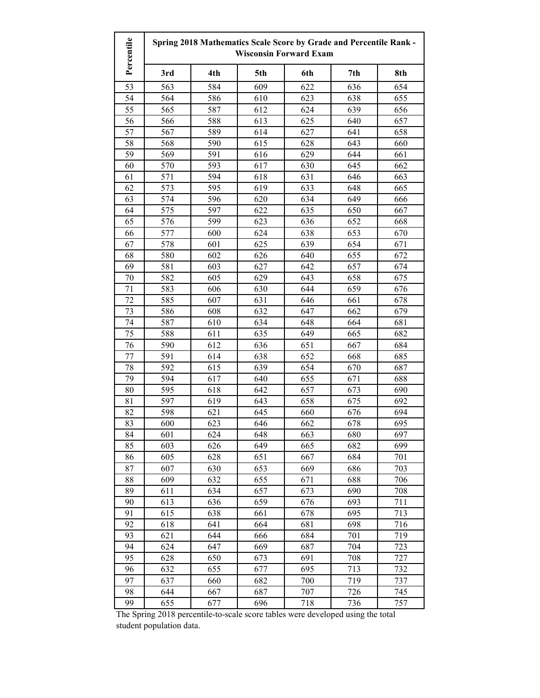| Percentile | Spring 2018 Mathematics Scale Score by Grade and Percentile Rank -<br><b>Wisconsin Forward Exam</b> |     |     |     |     |     |
|------------|-----------------------------------------------------------------------------------------------------|-----|-----|-----|-----|-----|
|            | 3rd                                                                                                 | 4th | 5th | 6th | 7th | 8th |
| 53         | 563                                                                                                 | 584 | 609 | 622 | 636 | 654 |
| 54         | 564                                                                                                 | 586 | 610 | 623 | 638 | 655 |
| 55         | 565                                                                                                 | 587 | 612 | 624 | 639 | 656 |
| 56         | 566                                                                                                 | 588 | 613 | 625 | 640 | 657 |
| 57         | 567                                                                                                 | 589 | 614 | 627 | 641 | 658 |
| 58         | 568                                                                                                 | 590 | 615 | 628 | 643 | 660 |
| 59         | 569                                                                                                 | 591 | 616 | 629 | 644 | 661 |
| 60         | 570                                                                                                 | 593 | 617 | 630 | 645 | 662 |
| 61         | 571                                                                                                 | 594 | 618 | 631 | 646 | 663 |
| 62         | 573                                                                                                 | 595 | 619 | 633 | 648 | 665 |
| 63         | 574                                                                                                 | 596 | 620 | 634 | 649 | 666 |
| 64         | 575                                                                                                 | 597 | 622 | 635 | 650 | 667 |
| 65         | 576                                                                                                 | 599 | 623 | 636 | 652 | 668 |
| 66         | 577                                                                                                 | 600 | 624 | 638 | 653 | 670 |
| 67         | 578                                                                                                 | 601 | 625 | 639 | 654 | 671 |
| 68         | 580                                                                                                 | 602 | 626 | 640 | 655 | 672 |
| 69         | 581                                                                                                 | 603 | 627 | 642 | 657 | 674 |
| 70         | 582                                                                                                 | 605 | 629 | 643 | 658 | 675 |
| 71         | 583                                                                                                 | 606 | 630 | 644 | 659 | 676 |
| 72         | 585                                                                                                 | 607 | 631 | 646 | 661 | 678 |
| 73         | 586                                                                                                 | 608 | 632 | 647 | 662 | 679 |
| 74         | 587                                                                                                 | 610 | 634 | 648 | 664 | 681 |
| 75         | 588                                                                                                 | 611 | 635 | 649 | 665 | 682 |
| 76         | 590                                                                                                 | 612 | 636 | 651 | 667 | 684 |
| 77         | 591                                                                                                 | 614 | 638 | 652 | 668 | 685 |
| 78         | 592                                                                                                 | 615 | 639 | 654 | 670 | 687 |
| 79         | 594                                                                                                 | 617 | 640 | 655 | 671 | 688 |
| 80         | 595                                                                                                 | 618 | 642 | 657 | 673 | 690 |
| 81         | 597                                                                                                 | 619 | 643 | 658 | 675 | 692 |
| 82         | 598                                                                                                 | 621 | 645 | 660 | 676 | 694 |
| 83         | 600                                                                                                 | 623 | 646 | 662 | 678 | 695 |
| 84         | 601                                                                                                 | 624 | 648 | 663 | 680 | 697 |
| 85         | 603                                                                                                 | 626 | 649 | 665 | 682 | 699 |
| 86         | 605                                                                                                 | 628 | 651 | 667 | 684 | 701 |
| 87         | 607                                                                                                 | 630 | 653 | 669 | 686 | 703 |
| 88         | 609                                                                                                 | 632 | 655 | 671 | 688 | 706 |
| 89         | 611                                                                                                 | 634 | 657 | 673 | 690 | 708 |
| 90         | 613                                                                                                 | 636 | 659 | 676 | 693 | 711 |
| 91         | 615                                                                                                 | 638 | 661 | 678 | 695 | 713 |
| 92         | 618                                                                                                 | 641 | 664 | 681 | 698 | 716 |
| 93         | 621                                                                                                 | 644 | 666 | 684 | 701 | 719 |
| 94         | 624                                                                                                 | 647 | 669 | 687 | 704 | 723 |
| 95         | 628                                                                                                 | 650 | 673 | 691 | 708 | 727 |
| 96         | 632                                                                                                 | 655 | 677 | 695 | 713 | 732 |
| 97         | 637                                                                                                 | 660 | 682 | 700 | 719 | 737 |
| 98         | 644                                                                                                 | 667 | 687 | 707 | 726 | 745 |
| 99         | 655                                                                                                 | 677 | 696 | 718 | 736 | 757 |

The Spring 2018 percentile-to-scale score tables were developed using the total student population data.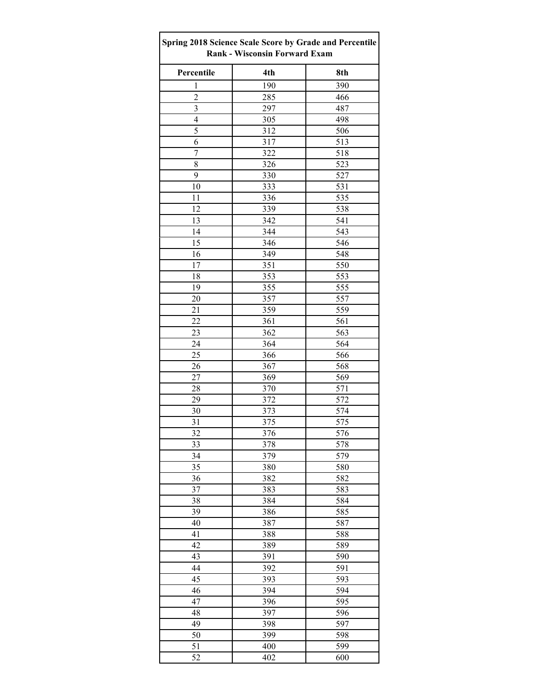| Spring 2018 Science Scale Score by Grade and Percentile<br><b>Rank - Wisconsin Forward Exam</b> |            |            |  |  |  |
|-------------------------------------------------------------------------------------------------|------------|------------|--|--|--|
| Percentile                                                                                      | 4th        | 8th        |  |  |  |
| $\mathbf{1}$                                                                                    | 190        | 390        |  |  |  |
| $\overline{c}$                                                                                  | 285        | 466        |  |  |  |
| 3                                                                                               | 297        | 487        |  |  |  |
| 4                                                                                               | 305        | 498        |  |  |  |
| 5                                                                                               | 312        | 506        |  |  |  |
| 6                                                                                               | 317        | 513        |  |  |  |
| $\overline{7}$                                                                                  | 322        | 518        |  |  |  |
| 8                                                                                               | 326        | 523        |  |  |  |
| 9                                                                                               | 330        | 527        |  |  |  |
| 10                                                                                              | 333        | 531        |  |  |  |
| 11                                                                                              | 336        | 535        |  |  |  |
| 12                                                                                              | 339        | 538        |  |  |  |
| 13                                                                                              | 342        | 541        |  |  |  |
| 14                                                                                              | 344        | 543        |  |  |  |
| 15                                                                                              | 346        | 546        |  |  |  |
| 16                                                                                              | 349        | 548        |  |  |  |
| 17                                                                                              | 351        | 550        |  |  |  |
| 18                                                                                              | 353        | 553        |  |  |  |
| 19                                                                                              | 355        | 555        |  |  |  |
| 20                                                                                              | 357        | 557        |  |  |  |
| 21                                                                                              | 359        | 559        |  |  |  |
| 22                                                                                              | 361        | 561        |  |  |  |
| 23                                                                                              | 362        | 563        |  |  |  |
| 24                                                                                              | 364        | 564        |  |  |  |
| 25                                                                                              | 366        | 566        |  |  |  |
| 26                                                                                              |            | 568        |  |  |  |
|                                                                                                 | 367        |            |  |  |  |
| 27                                                                                              | 369        | 569        |  |  |  |
| 28<br>29                                                                                        | 370<br>372 | 571<br>572 |  |  |  |
| 30                                                                                              |            | 574        |  |  |  |
| 31                                                                                              | 373        | 575        |  |  |  |
| 32                                                                                              | 375        |            |  |  |  |
| $\overline{33}$                                                                                 | 376<br>378 | 576<br>578 |  |  |  |
| 34                                                                                              | 379        | 579        |  |  |  |
| 35                                                                                              | 380        | 580        |  |  |  |
| 36                                                                                              | 382        | 582        |  |  |  |
| 37                                                                                              | 383        | 583        |  |  |  |
| 38                                                                                              | 384        | 584        |  |  |  |
|                                                                                                 |            |            |  |  |  |
| 39                                                                                              | 386        | 585        |  |  |  |
| 40                                                                                              | 387        | 587        |  |  |  |
| 41                                                                                              | 388        | 588        |  |  |  |
| 42                                                                                              | 389        | 589        |  |  |  |
| 43                                                                                              | 391        | 590        |  |  |  |
| 44                                                                                              | 392        | 591        |  |  |  |
| 45                                                                                              | 393        | 593<br>594 |  |  |  |
| 46<br>47                                                                                        | 394<br>396 | 595        |  |  |  |
| 48                                                                                              | 397        | 596        |  |  |  |
| 49                                                                                              | 398        | 597        |  |  |  |
|                                                                                                 |            |            |  |  |  |
| 50<br>51                                                                                        | 399        | 598<br>599 |  |  |  |
|                                                                                                 | 400        |            |  |  |  |
| 52                                                                                              | 402        | 600        |  |  |  |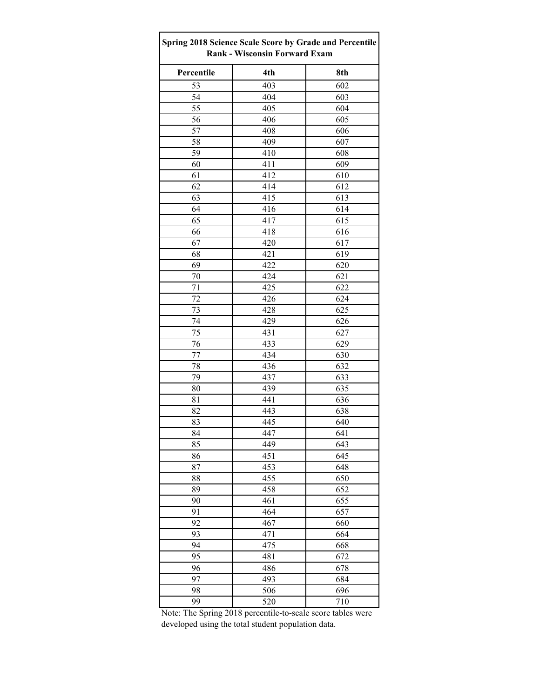| Spring 2018 Science Scale Score by Grade and Percentile<br><b>Rank - Wisconsin Forward Exam</b> |                  |     |  |  |  |
|-------------------------------------------------------------------------------------------------|------------------|-----|--|--|--|
| Percentile                                                                                      | 4th              | 8th |  |  |  |
| 53                                                                                              | 403              | 602 |  |  |  |
| 54                                                                                              | 404              | 603 |  |  |  |
| 55                                                                                              | 405              | 604 |  |  |  |
| 56                                                                                              | 406              | 605 |  |  |  |
| 57                                                                                              | 408              | 606 |  |  |  |
| 58                                                                                              | 409              | 607 |  |  |  |
| 59                                                                                              | 410              | 608 |  |  |  |
| 60                                                                                              | 411              | 609 |  |  |  |
| 61                                                                                              | 412              | 610 |  |  |  |
| 62                                                                                              | 414              | 612 |  |  |  |
| 63                                                                                              | 415              | 613 |  |  |  |
| 64                                                                                              | 416              | 614 |  |  |  |
| 65                                                                                              | 417              | 615 |  |  |  |
| 66                                                                                              | 418              | 616 |  |  |  |
| 67                                                                                              | 420              | 617 |  |  |  |
| 68                                                                                              | 421              | 619 |  |  |  |
| 69                                                                                              | 422              | 620 |  |  |  |
| 70                                                                                              | 424              | 621 |  |  |  |
| 71                                                                                              | 425              | 622 |  |  |  |
| 72                                                                                              | 426              | 624 |  |  |  |
| 73                                                                                              | 428              | 625 |  |  |  |
| 74                                                                                              | 429              | 626 |  |  |  |
| 75                                                                                              | 431              | 627 |  |  |  |
| 76                                                                                              | 433              | 629 |  |  |  |
| 77                                                                                              | 434              | 630 |  |  |  |
| 78                                                                                              | 436              | 632 |  |  |  |
| 79                                                                                              | 437              | 633 |  |  |  |
| 80                                                                                              | 439              | 635 |  |  |  |
| 81                                                                                              | 441              | 636 |  |  |  |
| 82                                                                                              | 443              | 638 |  |  |  |
| 83                                                                                              | 445              | 640 |  |  |  |
| 84                                                                                              | 447              | 641 |  |  |  |
| 85                                                                                              | 449              | 643 |  |  |  |
| 86                                                                                              | 451              | 645 |  |  |  |
| 87                                                                                              | 453              | 648 |  |  |  |
| 88                                                                                              | 455              | 650 |  |  |  |
| 89                                                                                              | 458              | 652 |  |  |  |
| 90                                                                                              | 461              | 655 |  |  |  |
| 91                                                                                              | 464              | 657 |  |  |  |
| 92                                                                                              | 467              | 660 |  |  |  |
| 93                                                                                              | 471              | 664 |  |  |  |
| 94                                                                                              | 475              | 668 |  |  |  |
| 95                                                                                              | 481              | 672 |  |  |  |
| 96                                                                                              | 486              | 678 |  |  |  |
| 97                                                                                              | 493              | 684 |  |  |  |
| 98                                                                                              | 506              | 696 |  |  |  |
| 99                                                                                              | $\overline{520}$ | 710 |  |  |  |

Note: The Spring 2018 percentile-to-scale score tables were developed using the total student population data.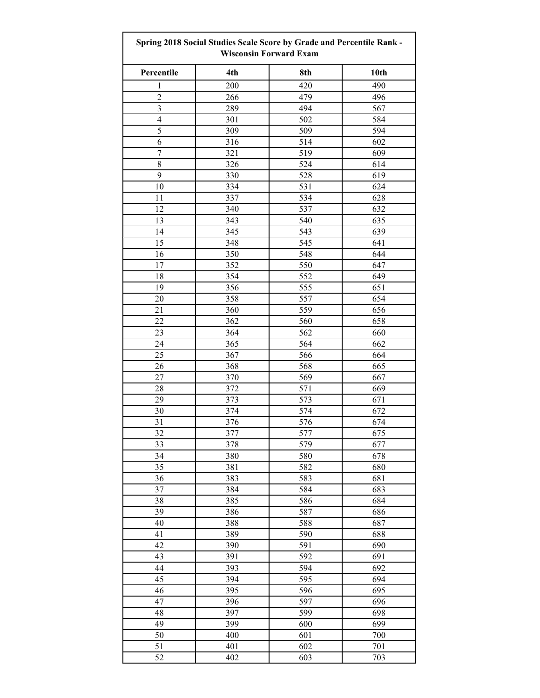| Spring 2018 Social Studies Scale Score by Grade and Percentile Rank -<br><b>Wisconsin Forward Exam</b> |     |     |      |  |
|--------------------------------------------------------------------------------------------------------|-----|-----|------|--|
| Percentile                                                                                             | 4th | 8th | 10th |  |
| $\mathbf{1}$                                                                                           | 200 | 420 | 490  |  |
| $\overline{c}$                                                                                         | 266 | 479 | 496  |  |
| $\overline{\mathbf{3}}$                                                                                | 289 | 494 | 567  |  |
| $\overline{4}$                                                                                         | 301 | 502 | 584  |  |
| 5                                                                                                      | 309 | 509 | 594  |  |
| 6                                                                                                      | 316 | 514 | 602  |  |
| $\boldsymbol{7}$                                                                                       | 321 | 519 | 609  |  |
| 8                                                                                                      | 326 | 524 | 614  |  |
| 9                                                                                                      | 330 | 528 | 619  |  |
| 10                                                                                                     | 334 | 531 | 624  |  |
| 11                                                                                                     | 337 | 534 | 628  |  |
| 12                                                                                                     | 340 | 537 | 632  |  |
| 13                                                                                                     | 343 | 540 | 635  |  |
| 14                                                                                                     | 345 | 543 | 639  |  |
| 15                                                                                                     | 348 | 545 | 641  |  |
| 16                                                                                                     | 350 | 548 | 644  |  |
| 17                                                                                                     | 352 | 550 | 647  |  |
| 18                                                                                                     | 354 | 552 | 649  |  |
| 19                                                                                                     | 356 | 555 | 651  |  |
| 20                                                                                                     | 358 | 557 | 654  |  |
| 21                                                                                                     | 360 | 559 | 656  |  |
| 22                                                                                                     | 362 | 560 | 658  |  |
| 23                                                                                                     | 364 | 562 | 660  |  |
| 24                                                                                                     | 365 | 564 | 662  |  |
| 25                                                                                                     | 367 | 566 | 664  |  |
| 26                                                                                                     | 368 | 568 | 665  |  |
| 27                                                                                                     | 370 | 569 | 667  |  |
| 28                                                                                                     | 372 | 571 | 669  |  |
| 29                                                                                                     | 373 | 573 | 671  |  |
| 30                                                                                                     | 374 | 574 | 672  |  |
| 31                                                                                                     | 376 | 576 | 674  |  |
| 32                                                                                                     | 377 | 577 | 675  |  |
| 33                                                                                                     | 378 | 579 | 677  |  |
| 34                                                                                                     | 380 | 580 | 678  |  |
| 35                                                                                                     | 381 | 582 | 680  |  |
| 36                                                                                                     | 383 | 583 | 681  |  |
| 37                                                                                                     | 384 | 584 | 683  |  |
| 38                                                                                                     | 385 | 586 | 684  |  |
| 39                                                                                                     | 386 | 587 | 686  |  |
| 40                                                                                                     | 388 | 588 | 687  |  |
| 41                                                                                                     | 389 | 590 | 688  |  |
| 42                                                                                                     |     | 591 |      |  |
|                                                                                                        | 390 |     | 690  |  |
| 43                                                                                                     | 391 | 592 | 691  |  |
| 44                                                                                                     | 393 | 594 | 692  |  |
| 45                                                                                                     | 394 | 595 | 694  |  |
| 46                                                                                                     | 395 | 596 | 695  |  |
| 47                                                                                                     | 396 | 597 | 696  |  |
| 48                                                                                                     | 397 | 599 | 698  |  |
| 49                                                                                                     | 399 | 600 | 699  |  |
| 50                                                                                                     | 400 | 601 | 700  |  |
| 51                                                                                                     | 401 | 602 | 701  |  |
| 52                                                                                                     | 402 | 603 | 703  |  |